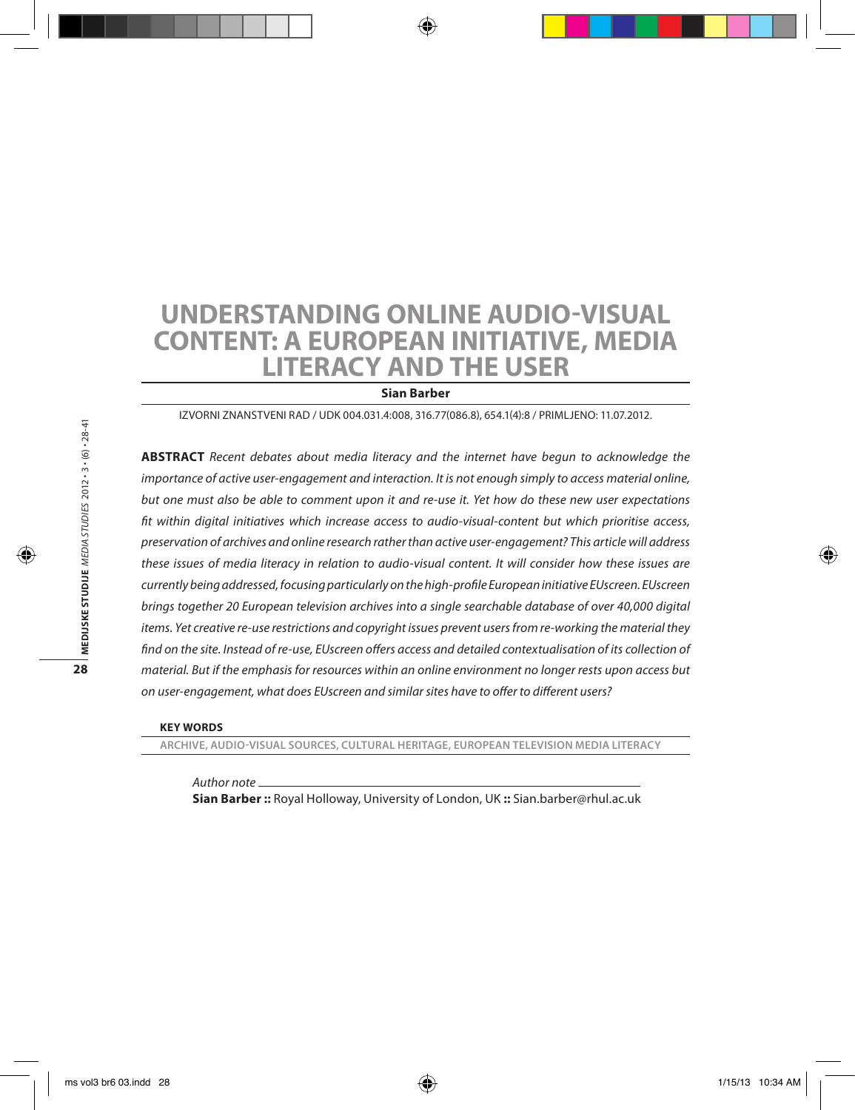# **Understanding online audio-visual content: A European initiative, media literacy and the user**

#### **Sian Barber**

Izvorni znanstveni rad / UDK 004.031.4:008, 316.77(086.8), 654.1(4):8 / Primljeno: 11.07.2012.

**Abstract** *Recent debates about media literacy and the internet have begun to acknowledge the importance of active user-engagement and interaction. It is not enough simply to access material online, but one must also be able to comment upon it and re-use it. Yet how do these new user expectations fit within digital initiatives which increase access to audio-visual-content but which prioritise access, preservation of archives and online research rather than active user-engagement? This article will address these issues of media literacy in relation to audio-visual content. It will consider how these issues are currently being addressed, focusing particularly on the high-profile European initiative EUscreen. EUscreen brings together 20 European television archives into a single searchable database of over 40,000 digital items. Yet creative re-use restrictions and copyright issues prevent users from re-working the material they*  find on the site. Instead of re-use, EUscreen offers access and detailed contextualisation of its collection of *material. But if the emphasis for resources within an online environment no longer rests upon access but on user-engagement, what does EUscreen and similar sites have to offer to different users?*

#### **Key words**

**Archive, Audio-visual sources, Cultural heritage, European Television Media Literacy** 

*Author note*

**Sian Barber ::** Royal Holloway, University of London, UK **::** Sian.barber@rhul.ac.uk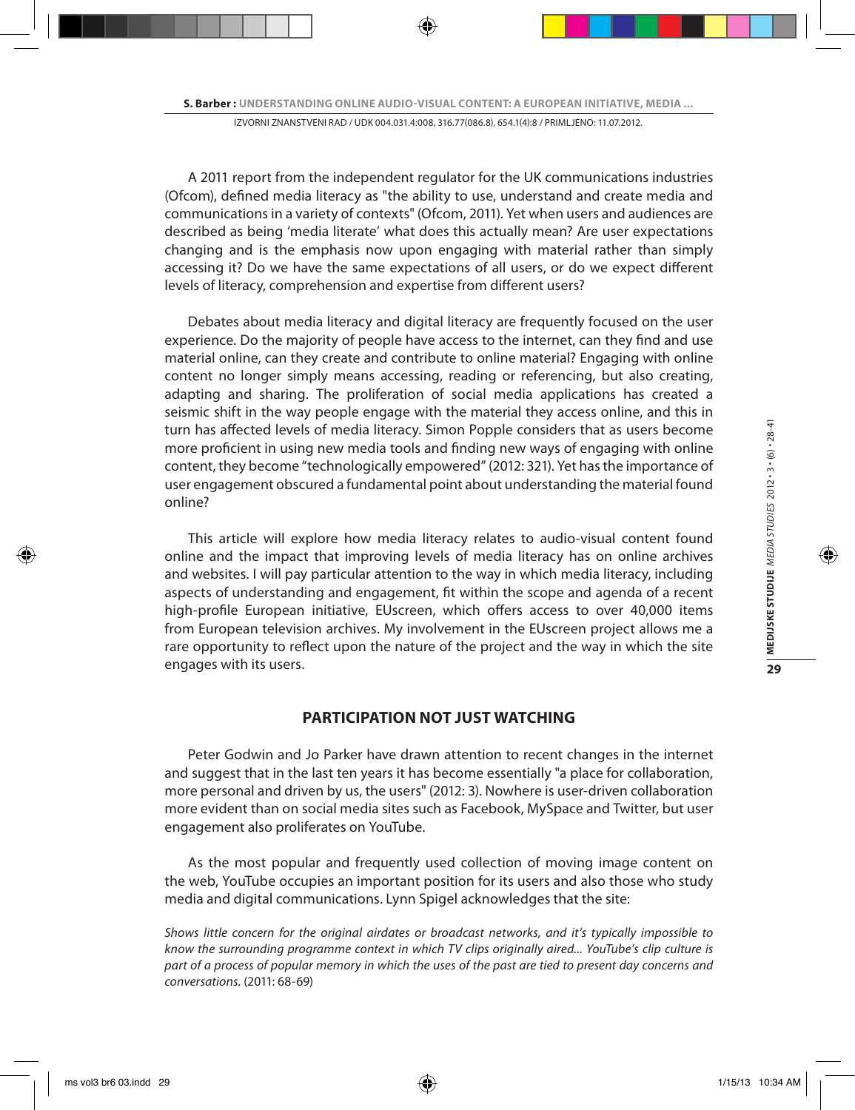A 2011 report from the independent regulator for the UK communications industries (Ofcom), defined media literacy as "the ability to use, understand and create media and communications in a variety of contexts" (Ofcom, 2011). Yet when users and audiences are described as being 'media literate' what does this actually mean? Are user expectations changing and is the emphasis now upon engaging with material rather than simply accessing it? Do we have the same expectations of all users, or do we expect different levels of literacy, comprehension and expertise from different users?

Debates about media literacy and digital literacy are frequently focused on the user experience. Do the majority of people have access to the internet, can they find and use material online, can they create and contribute to online material? Engaging with online content no longer simply means accessing, reading or referencing, but also creating, adapting and sharing. The proliferation of social media applications has created a seismic shift in the way people engage with the material they access online, and this in turn has affected levels of media literacy. Simon Popple considers that as users become more proficient in using new media tools and finding new ways of engaging with online content, they become "technologically empowered" (2012: 321). Yet has the importance of user engagement obscured a fundamental point about understanding the material found online?

This article will explore how media literacy relates to audio-visual content found online and the impact that improving levels of media literacy has on online archives and websites. I will pay particular attention to the way in which media literacy, including aspects of understanding and engagement, fit within the scope and agenda of a recent high-profile European initiative, EUscreen, which offers access to over 40,000 items from European television archives. My involvement in the EUscreen project allows me a rare opportunity to reflect upon the nature of the project and the way in which the site engages with its users.

## **PARTICIPATION NOT JUST WATCHING**

Peter Godwin and Jo Parker have drawn attention to recent changes in the internet and suggest that in the last ten years it has become essentially "a place for collaboration, more personal and driven by us, the users" (2012: 3). Nowhere is user-driven collaboration more evident than on social media sites such as Facebook, MySpace and Twitter, but user engagement also proliferates on YouTube.

As the most popular and frequently used collection of moving image content on the web, YouTube occupies an important position for its users and also those who study media and digital communications. Lynn Spigel acknowledges that the site:

*Shows little concern for the original airdates or broadcast networks, and it's typically impossible to know the surrounding programme context in which TV clips originally aired... YouTube's clip culture is part of a process of popular memory in which the uses of the past are tied to present day concerns and conversations.* (2011: 68-69)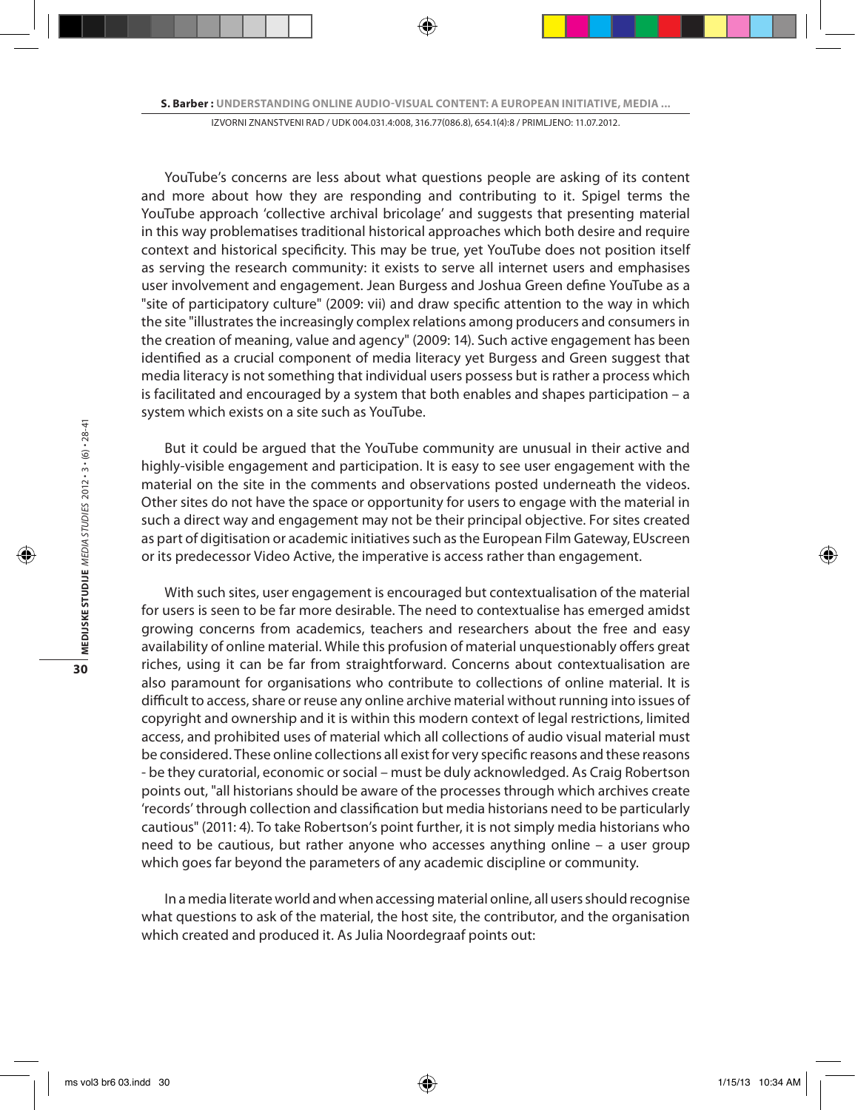YouTube's concerns are less about what questions people are asking of its content and more about how they are responding and contributing to it. Spigel terms the YouTube approach 'collective archival bricolage' and suggests that presenting material in this way problematises traditional historical approaches which both desire and require context and historical specificity. This may be true, yet YouTube does not position itself as serving the research community: it exists to serve all internet users and emphasises user involvement and engagement. Jean Burgess and Joshua Green define YouTube as a "site of participatory culture" (2009: vii) and draw specific attention to the way in which the site "illustrates the increasingly complex relations among producers and consumers in the creation of meaning, value and agency" (2009: 14). Such active engagement has been identified as a crucial component of media literacy yet Burgess and Green suggest that media literacy is not something that individual users possess but is rather a process which is facilitated and encouraged by a system that both enables and shapes participation – a system which exists on a site such as YouTube.

But it could be argued that the YouTube community are unusual in their active and highly-visible engagement and participation. It is easy to see user engagement with the material on the site in the comments and observations posted underneath the videos. Other sites do not have the space or opportunity for users to engage with the material in such a direct way and engagement may not be their principal objective. For sites created as part of digitisation or academic initiatives such as the European Film Gateway, EUscreen or its predecessor Video Active, the imperative is access rather than engagement.

With such sites, user engagement is encouraged but contextualisation of the material for users is seen to be far more desirable. The need to contextualise has emerged amidst growing concerns from academics, teachers and researchers about the free and easy availability of online material. While this profusion of material unquestionably offers great riches, using it can be far from straightforward. Concerns about contextualisation are also paramount for organisations who contribute to collections of online material. It is difficult to access, share or reuse any online archive material without running into issues of copyright and ownership and it is within this modern context of legal restrictions, limited access, and prohibited uses of material which all collections of audio visual material must be considered. These online collections all exist for very specific reasons and these reasons - be they curatorial, economic or social – must be duly acknowledged. As Craig Robertson points out, "all historians should be aware of the processes through which archives create 'records' through collection and classification but media historians need to be particularly cautious" (2011: 4). To take Robertson's point further, it is not simply media historians who need to be cautious, but rather anyone who accesses anything online – a user group which goes far beyond the parameters of any academic discipline or community.

In a media literate world and when accessing material online, all users should recognise what questions to ask of the material, the host site, the contributor, and the organisation which created and produced it. As Julia Noordegraaf points out: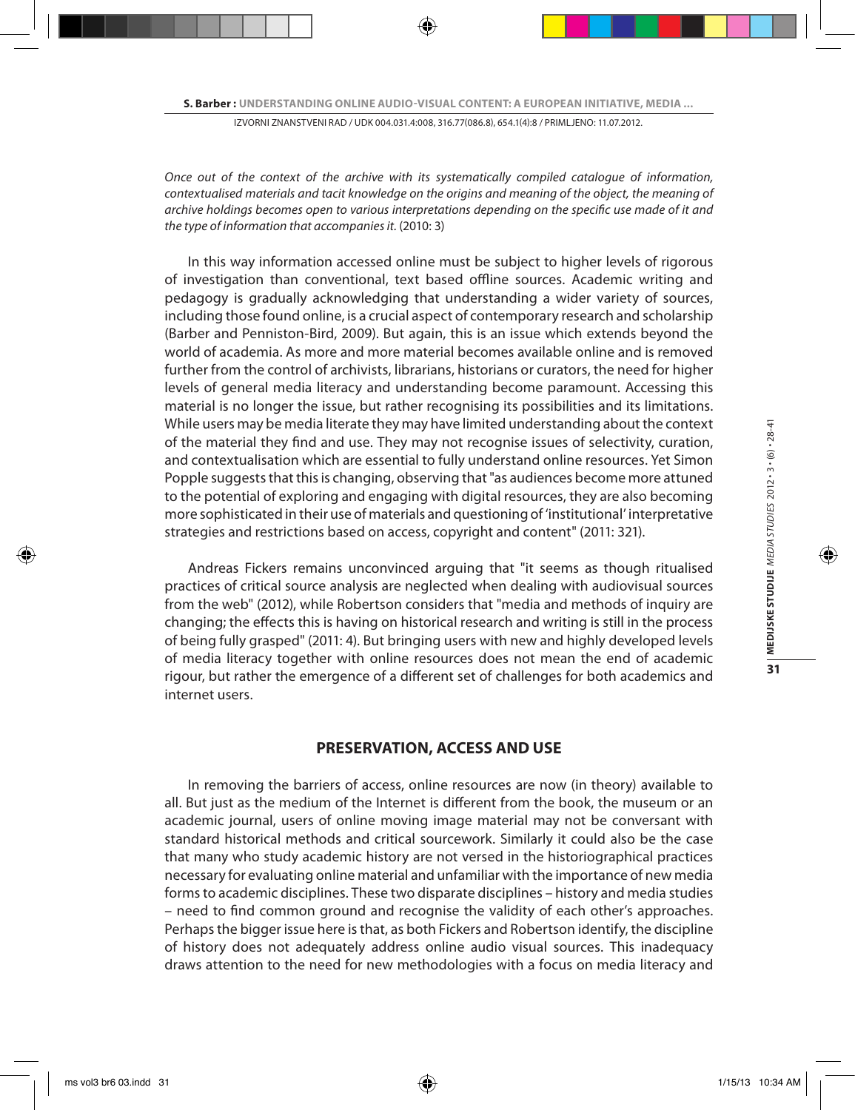*Once out of the context of the archive with its systematically compiled catalogue of information, contextualised materials and tacit knowledge on the origins and meaning of the object, the meaning of archive holdings becomes open to various interpretations depending on the specific use made of it and the type of information that accompanies it.* (2010: 3)

In this way information accessed online must be subject to higher levels of rigorous of investigation than conventional, text based offline sources. Academic writing and pedagogy is gradually acknowledging that understanding a wider variety of sources, including those found online, is a crucial aspect of contemporary research and scholarship (Barber and Penniston-Bird, 2009). But again, this is an issue which extends beyond the world of academia. As more and more material becomes available online and is removed further from the control of archivists, librarians, historians or curators, the need for higher levels of general media literacy and understanding become paramount. Accessing this material is no longer the issue, but rather recognising its possibilities and its limitations. While users may be media literate they may have limited understanding about the context of the material they find and use. They may not recognise issues of selectivity, curation, and contextualisation which are essential to fully understand online resources. Yet Simon Popple suggests that this is changing, observing that "as audiences become more attuned to the potential of exploring and engaging with digital resources, they are also becoming more sophisticated in their use of materials and questioning of 'institutional' interpretative strategies and restrictions based on access, copyright and content" (2011: 321).

Andreas Fickers remains unconvinced arguing that "it seems as though ritualised practices of critical source analysis are neglected when dealing with audiovisual sources from the web" (2012), while Robertson considers that "media and methods of inquiry are changing; the effects this is having on historical research and writing is still in the process of being fully grasped" (2011: 4). But bringing users with new and highly developed levels of media literacy together with online resources does not mean the end of academic rigour, but rather the emergence of a different set of challenges for both academics and internet users.

## **PRESERVATION, ACCESS AND USE**

In removing the barriers of access, online resources are now (in theory) available to all. But just as the medium of the Internet is different from the book, the museum or an academic journal, users of online moving image material may not be conversant with standard historical methods and critical sourcework. Similarly it could also be the case that many who study academic history are not versed in the historiographical practices necessary for evaluating online material and unfamiliar with the importance of new media forms to academic disciplines. These two disparate disciplines – history and media studies – need to find common ground and recognise the validity of each other's approaches. Perhaps the bigger issue here is that, as both Fickers and Robertson identify, the discipline of history does not adequately address online audio visual sources. This inadequacy draws attention to the need for new methodologies with a focus on media literacy and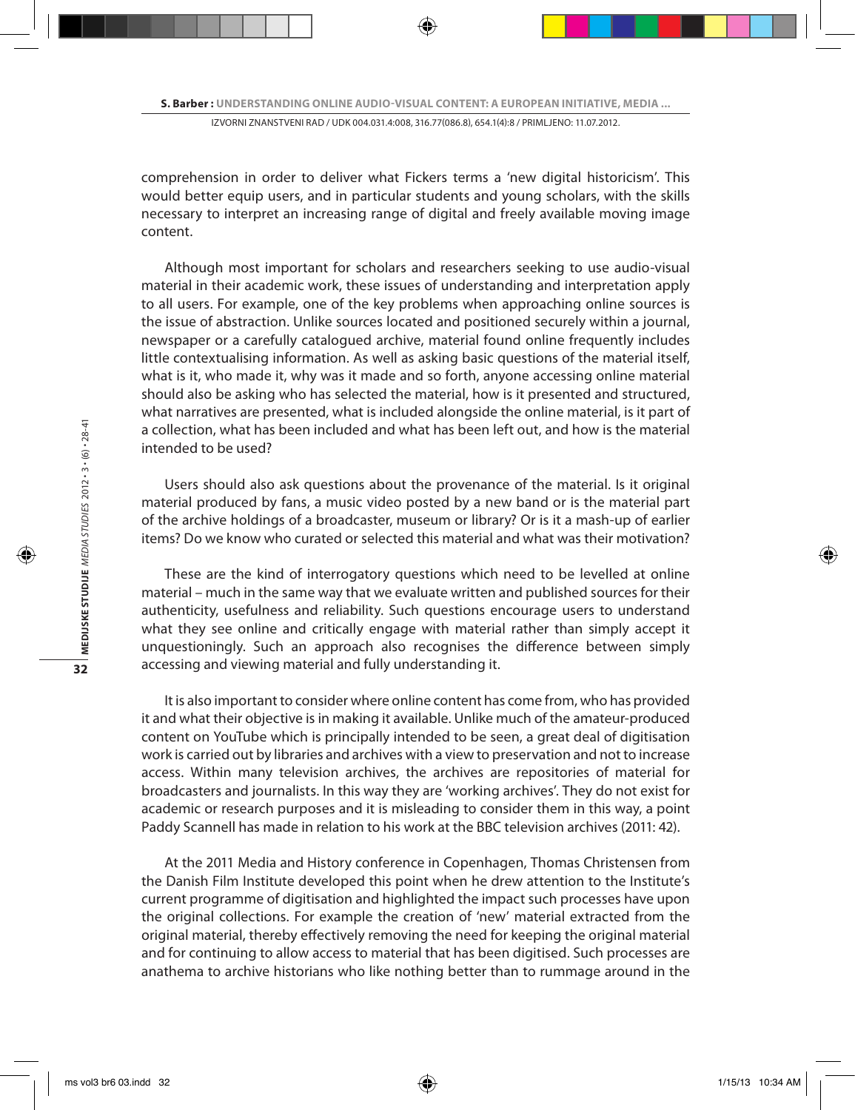comprehension in order to deliver what Fickers terms a 'new digital historicism'. This would better equip users, and in particular students and young scholars, with the skills necessary to interpret an increasing range of digital and freely available moving image content.

Although most important for scholars and researchers seeking to use audio-visual material in their academic work, these issues of understanding and interpretation apply to all users. For example, one of the key problems when approaching online sources is the issue of abstraction. Unlike sources located and positioned securely within a journal, newspaper or a carefully catalogued archive, material found online frequently includes little contextualising information. As well as asking basic questions of the material itself, what is it, who made it, why was it made and so forth, anyone accessing online material should also be asking who has selected the material, how is it presented and structured, what narratives are presented, what is included alongside the online material, is it part of a collection, what has been included and what has been left out, and how is the material intended to be used?

Users should also ask questions about the provenance of the material. Is it original material produced by fans, a music video posted by a new band or is the material part of the archive holdings of a broadcaster, museum or library? Or is it a mash-up of earlier items? Do we know who curated or selected this material and what was their motivation?

These are the kind of interrogatory questions which need to be levelled at online material – much in the same way that we evaluate written and published sources for their authenticity, usefulness and reliability. Such questions encourage users to understand what they see online and critically engage with material rather than simply accept it unquestioningly. Such an approach also recognises the difference between simply accessing and viewing material and fully understanding it.

It is also important to consider where online content has come from, who has provided it and what their objective is in making it available. Unlike much of the amateur-produced content on YouTube which is principally intended to be seen, a great deal of digitisation work is carried out by libraries and archives with a view to preservation and not to increase access. Within many television archives, the archives are repositories of material for broadcasters and journalists. In this way they are 'working archives'. They do not exist for academic or research purposes and it is misleading to consider them in this way, a point Paddy Scannell has made in relation to his work at the BBC television archives (2011: 42).

At the 2011 Media and History conference in Copenhagen, Thomas Christensen from the Danish Film Institute developed this point when he drew attention to the Institute's current programme of digitisation and highlighted the impact such processes have upon the original collections. For example the creation of 'new' material extracted from the original material, thereby effectively removing the need for keeping the original material and for continuing to allow access to material that has been digitised. Such processes are anathema to archive historians who like nothing better than to rummage around in the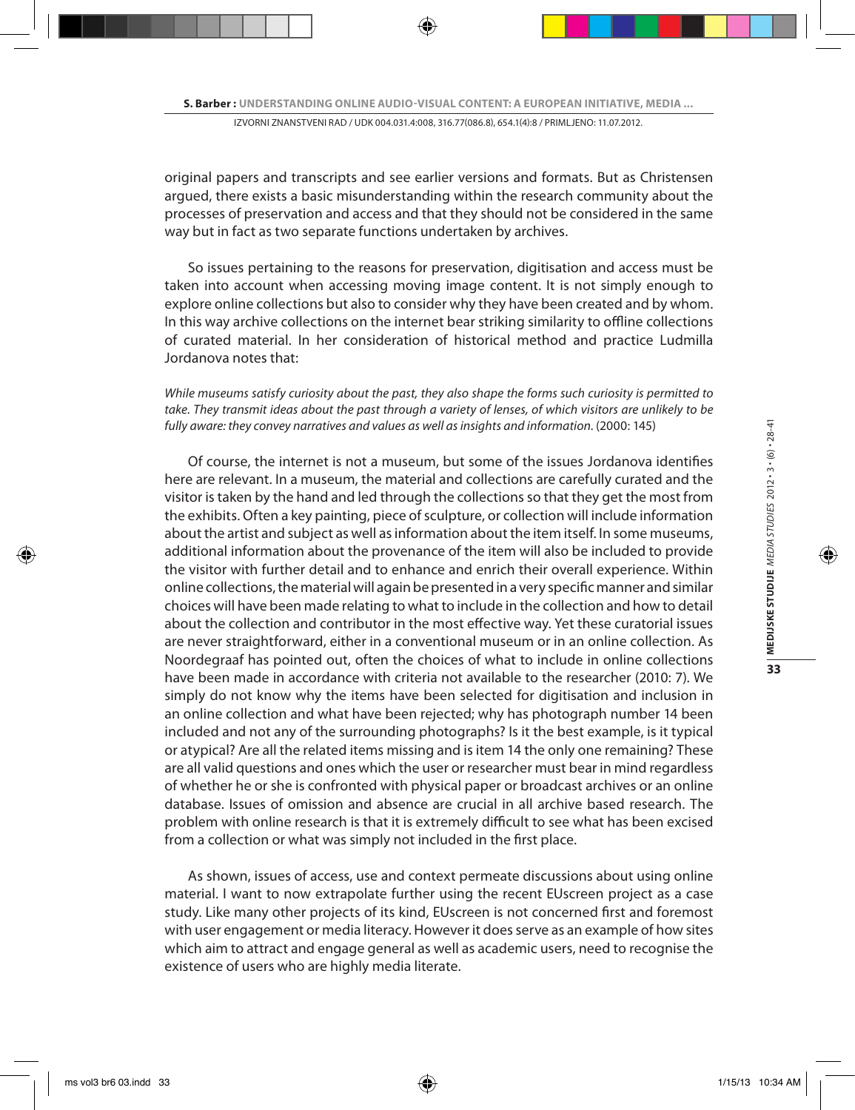original papers and transcripts and see earlier versions and formats. But as Christensen argued, there exists a basic misunderstanding within the research community about the processes of preservation and access and that they should not be considered in the same way but in fact as two separate functions undertaken by archives.

So issues pertaining to the reasons for preservation, digitisation and access must be taken into account when accessing moving image content. It is not simply enough to explore online collections but also to consider why they have been created and by whom. In this way archive collections on the internet bear striking similarity to offline collections of curated material. In her consideration of historical method and practice Ludmilla Jordanova notes that:

*While museums satisfy curiosity about the past, they also shape the forms such curiosity is permitted to take. They transmit ideas about the past through a variety of lenses, of which visitors are unlikely to be*  fully aware: they convey narratives and values as well as insights and information. (2000: 145)

Of course, the internet is not a museum, but some of the issues Jordanova identifies here are relevant. In a museum, the material and collections are carefully curated and the visitor is taken by the hand and led through the collections so that they get the most from the exhibits. Often a key painting, piece of sculpture, or collection will include information about the artist and subject as well as information about the item itself. In some museums, additional information about the provenance of the item will also be included to provide the visitor with further detail and to enhance and enrich their overall experience. Within online collections, the material will again be presented in a very specific manner and similar choices will have been made relating to what to include in the collection and how to detail about the collection and contributor in the most effective way. Yet these curatorial issues are never straightforward, either in a conventional museum or in an online collection. As Noordegraaf has pointed out, often the choices of what to include in online collections have been made in accordance with criteria not available to the researcher (2010: 7). We simply do not know why the items have been selected for digitisation and inclusion in an online collection and what have been rejected; why has photograph number 14 been included and not any of the surrounding photographs? Is it the best example, is it typical or atypical? Are all the related items missing and is item 14 the only one remaining? These are all valid questions and ones which the user or researcher must bear in mind regardless of whether he or she is confronted with physical paper or broadcast archives or an online database. Issues of omission and absence are crucial in all archive based research. The problem with online research is that it is extremely difficult to see what has been excised from a collection or what was simply not included in the first place.

As shown, issues of access, use and context permeate discussions about using online material. I want to now extrapolate further using the recent EUscreen project as a case study. Like many other projects of its kind, EUscreen is not concerned first and foremost with user engagement or media literacy. However it does serve as an example of how sites which aim to attract and engage general as well as academic users, need to recognise the existence of users who are highly media literate.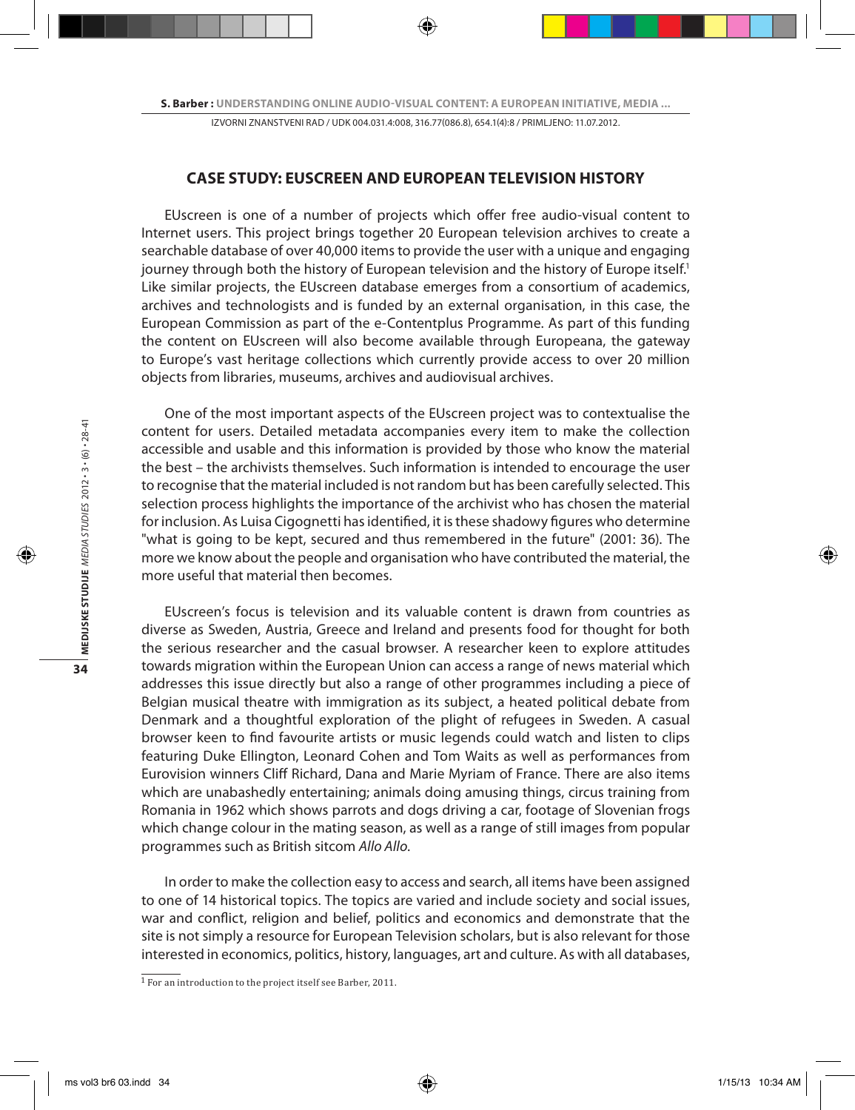#### **CASE STUDY: EUSCREEN AND EUROPEAN TELEVISION HISTORY**

EUscreen is one of a number of projects which offer free audio-visual content to Internet users. This project brings together 20 European television archives to create a searchable database of over 40,000 items to provide the user with a unique and engaging journey through both the history of European television and the history of Europe itself.<sup>1</sup> Like similar projects, the EUscreen database emerges from a consortium of academics, archives and technologists and is funded by an external organisation, in this case, the European Commission as part of the e-Contentplus Programme. As part of this funding the content on EUscreen will also become available through Europeana, the gateway to Europe's vast heritage collections which currently provide access to over 20 million objects from libraries, museums, archives and audiovisual archives.

One of the most important aspects of the EUscreen project was to contextualise the content for users. Detailed metadata accompanies every item to make the collection accessible and usable and this information is provided by those who know the material the best – the archivists themselves. Such information is intended to encourage the user to recognise that the material included is not random but has been carefully selected. This selection process highlights the importance of the archivist who has chosen the material for inclusion. As Luisa Cigognetti has identified, it is these shadowy figures who determine "what is going to be kept, secured and thus remembered in the future" (2001: 36). The more we know about the people and organisation who have contributed the material, the more useful that material then becomes.

EUscreen's focus is television and its valuable content is drawn from countries as diverse as Sweden, Austria, Greece and Ireland and presents food for thought for both the serious researcher and the casual browser. A researcher keen to explore attitudes towards migration within the European Union can access a range of news material which addresses this issue directly but also a range of other programmes including a piece of Belgian musical theatre with immigration as its subject, a heated political debate from Denmark and a thoughtful exploration of the plight of refugees in Sweden. A casual browser keen to find favourite artists or music legends could watch and listen to clips featuring Duke Ellington, Leonard Cohen and Tom Waits as well as performances from Eurovision winners Cliff Richard, Dana and Marie Myriam of France. There are also items which are unabashedly entertaining; animals doing amusing things, circus training from Romania in 1962 which shows parrots and dogs driving a car, footage of Slovenian frogs which change colour in the mating season, as well as a range of still images from popular programmes such as British sitcom *Allo Allo*.

In order to make the collection easy to access and search, all items have been assigned to one of 14 historical topics. The topics are varied and include society and social issues, war and conflict, religion and belief, politics and economics and demonstrate that the site is not simply a resource for European Television scholars, but is also relevant for those interested in economics, politics, history, languages, art and culture. As with all databases,

<sup>1</sup>For an introduction to the project itself see Barber, 2011.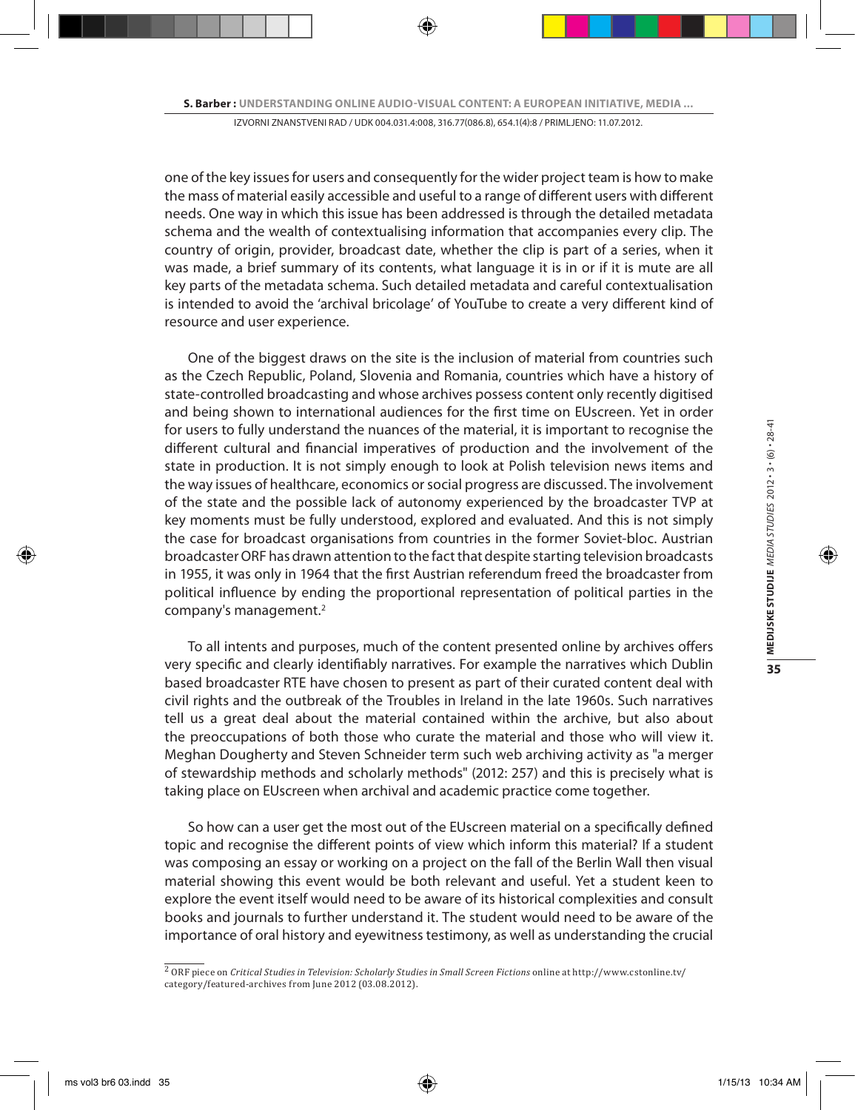one of the key issues for users and consequently for the wider project team is how to make the mass of material easily accessible and useful to a range of different users with different needs. One way in which this issue has been addressed is through the detailed metadata schema and the wealth of contextualising information that accompanies every clip. The country of origin, provider, broadcast date, whether the clip is part of a series, when it was made, a brief summary of its contents, what language it is in or if it is mute are all key parts of the metadata schema. Such detailed metadata and careful contextualisation is intended to avoid the 'archival bricolage' of YouTube to create a very different kind of resource and user experience.

One of the biggest draws on the site is the inclusion of material from countries such as the Czech Republic, Poland, Slovenia and Romania, countries which have a history of state-controlled broadcasting and whose archives possess content only recently digitised and being shown to international audiences for the first time on EUscreen. Yet in order for users to fully understand the nuances of the material, it is important to recognise the different cultural and financial imperatives of production and the involvement of the state in production. It is not simply enough to look at Polish television news items and the way issues of healthcare, economics or social progress are discussed. The involvement of the state and the possible lack of autonomy experienced by the broadcaster TVP at key moments must be fully understood, explored and evaluated. And this is not simply the case for broadcast organisations from countries in the former Soviet-bloc. Austrian broadcaster ORF has drawn attention to the fact that despite starting television broadcasts in 1955, it was only in 1964 that the first Austrian referendum freed the broadcaster from political influence by ending the proportional representation of political parties in the company's management.2

To all intents and purposes, much of the content presented online by archives offers very specific and clearly identifiably narratives. For example the narratives which Dublin based broadcaster RTE have chosen to present as part of their curated content deal with civil rights and the outbreak of the Troubles in Ireland in the late 1960s. Such narratives tell us a great deal about the material contained within the archive, but also about the preoccupations of both those who curate the material and those who will view it. Meghan Dougherty and Steven Schneider term such web archiving activity as "a merger of stewardship methods and scholarly methods" (2012: 257) and this is precisely what is taking place on EUscreen when archival and academic practice come together.

So how can a user get the most out of the EUscreen material on a specifically defined topic and recognise the different points of view which inform this material? If a student was composing an essay or working on a project on the fall of the Berlin Wall then visual material showing this event would be both relevant and useful. Yet a student keen to explore the event itself would need to be aware of its historical complexities and consult books and journals to further understand it. The student would need to be aware of the importance of oral history and eyewitness testimony, as well as understanding the crucial

<sup>2</sup> ORF piece on *Critical Studies in Television: Scholarly Studies in Small Screen Fictions* online at http://www.cstonline.tv/ category/featured-archives from June 2012 (03.08.2012).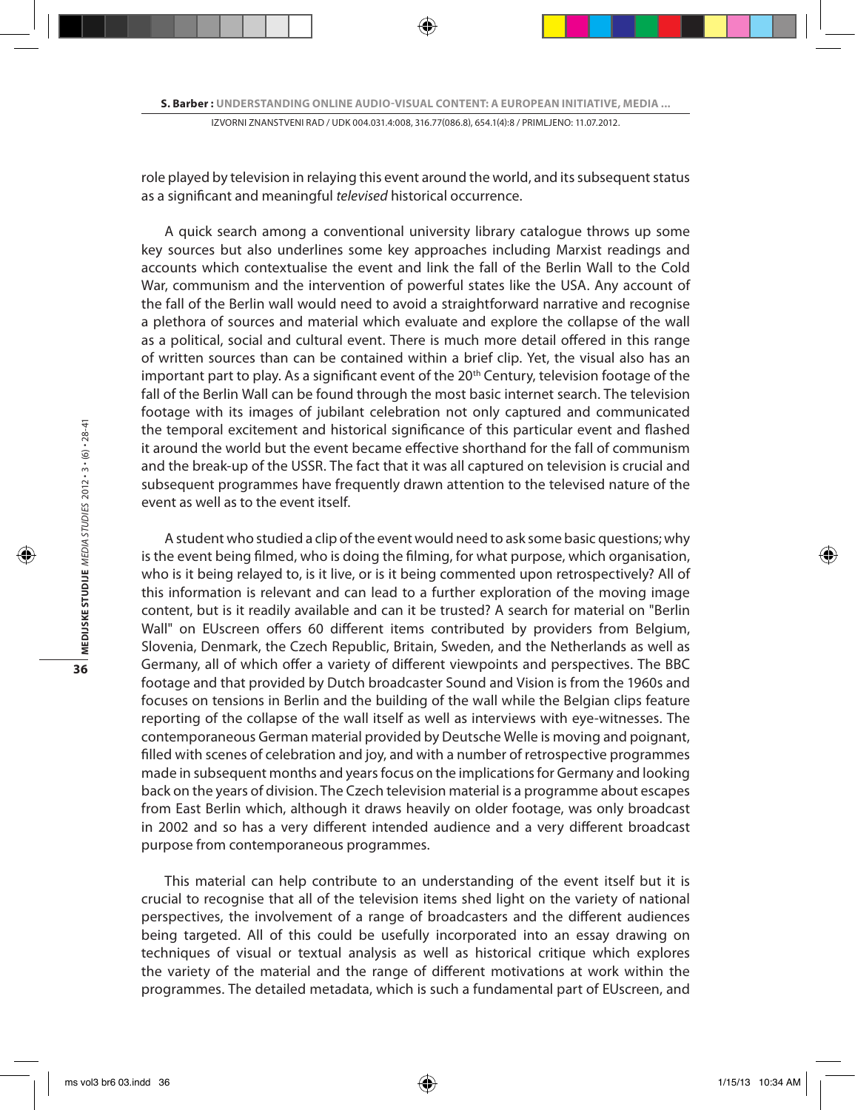role played by television in relaying this event around the world, and its subsequent status as a significant and meaningful *televised* historical occurrence.

A quick search among a conventional university library catalogue throws up some key sources but also underlines some key approaches including Marxist readings and accounts which contextualise the event and link the fall of the Berlin Wall to the Cold War, communism and the intervention of powerful states like the USA. Any account of the fall of the Berlin wall would need to avoid a straightforward narrative and recognise a plethora of sources and material which evaluate and explore the collapse of the wall as a political, social and cultural event. There is much more detail offered in this range of written sources than can be contained within a brief clip. Yet, the visual also has an important part to play. As a significant event of the 20<sup>th</sup> Century, television footage of the fall of the Berlin Wall can be found through the most basic internet search. The television footage with its images of jubilant celebration not only captured and communicated the temporal excitement and historical significance of this particular event and flashed it around the world but the event became effective shorthand for the fall of communism and the break-up of the USSR. The fact that it was all captured on television is crucial and subsequent programmes have frequently drawn attention to the televised nature of the event as well as to the event itself.

A student who studied a clip of the event would need to ask some basic questions; why is the event being filmed, who is doing the filming, for what purpose, which organisation, who is it being relayed to, is it live, or is it being commented upon retrospectively? All of this information is relevant and can lead to a further exploration of the moving image content, but is it readily available and can it be trusted? A search for material on "Berlin Wall" on EUscreen offers 60 different items contributed by providers from Belgium, Slovenia, Denmark, the Czech Republic, Britain, Sweden, and the Netherlands as well as Germany, all of which offer a variety of different viewpoints and perspectives. The BBC footage and that provided by Dutch broadcaster Sound and Vision is from the 1960s and focuses on tensions in Berlin and the building of the wall while the Belgian clips feature reporting of the collapse of the wall itself as well as interviews with eye-witnesses. The contemporaneous German material provided by Deutsche Welle is moving and poignant, filled with scenes of celebration and joy, and with a number of retrospective programmes made in subsequent months and years focus on the implications for Germany and looking back on the years of division. The Czech television material is a programme about escapes from East Berlin which, although it draws heavily on older footage, was only broadcast in 2002 and so has a very different intended audience and a very different broadcast purpose from contemporaneous programmes.

This material can help contribute to an understanding of the event itself but it is crucial to recognise that all of the television items shed light on the variety of national perspectives, the involvement of a range of broadcasters and the different audiences being targeted. All of this could be usefully incorporated into an essay drawing on techniques of visual or textual analysis as well as historical critique which explores the variety of the material and the range of different motivations at work within the programmes. The detailed metadata, which is such a fundamental part of EUscreen, and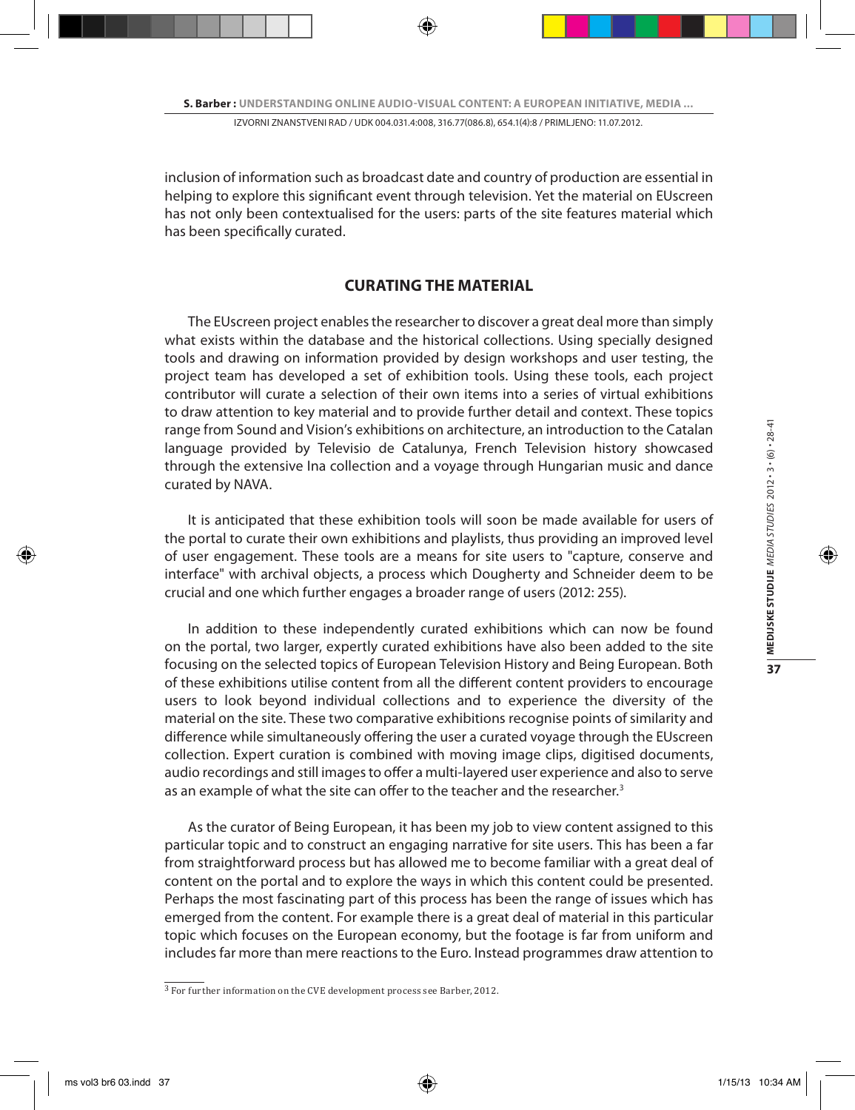inclusion of information such as broadcast date and country of production are essential in helping to explore this significant event through television. Yet the material on EUscreen has not only been contextualised for the users: parts of the site features material which has been specifically curated.

## **CURATING THE MATERIAL**

The EUscreen project enables the researcher to discover a great deal more than simply what exists within the database and the historical collections. Using specially designed tools and drawing on information provided by design workshops and user testing, the project team has developed a set of exhibition tools. Using these tools, each project contributor will curate a selection of their own items into a series of virtual exhibitions to draw attention to key material and to provide further detail and context. These topics range from Sound and Vision's exhibitions on architecture, an introduction to the Catalan language provided by Televisio de Catalunya, French Television history showcased through the extensive Ina collection and a voyage through Hungarian music and dance curated by NAVA.

It is anticipated that these exhibition tools will soon be made available for users of the portal to curate their own exhibitions and playlists, thus providing an improved level of user engagement. These tools are a means for site users to "capture, conserve and interface" with archival objects, a process which Dougherty and Schneider deem to be crucial and one which further engages a broader range of users (2012: 255).

In addition to these independently curated exhibitions which can now be found on the portal, two larger, expertly curated exhibitions have also been added to the site focusing on the selected topics of European Television History and Being European. Both of these exhibitions utilise content from all the different content providers to encourage users to look beyond individual collections and to experience the diversity of the material on the site. These two comparative exhibitions recognise points of similarity and difference while simultaneously offering the user a curated voyage through the EUscreen collection. Expert curation is combined with moving image clips, digitised documents, audio recordings and still images to offer a multi-layered user experience and also to serve as an example of what the site can offer to the teacher and the researcher.<sup>3</sup>

As the curator of Being European, it has been my job to view content assigned to this particular topic and to construct an engaging narrative for site users. This has been a far from straightforward process but has allowed me to become familiar with a great deal of content on the portal and to explore the ways in which this content could be presented. Perhaps the most fascinating part of this process has been the range of issues which has emerged from the content. For example there is a great deal of material in this particular topic which focuses on the European economy, but the footage is far from uniform and includes far more than mere reactions to the Euro. Instead programmes draw attention to

 $\frac{3}{3}$  For further information on the CVE development process see Barber, 2012.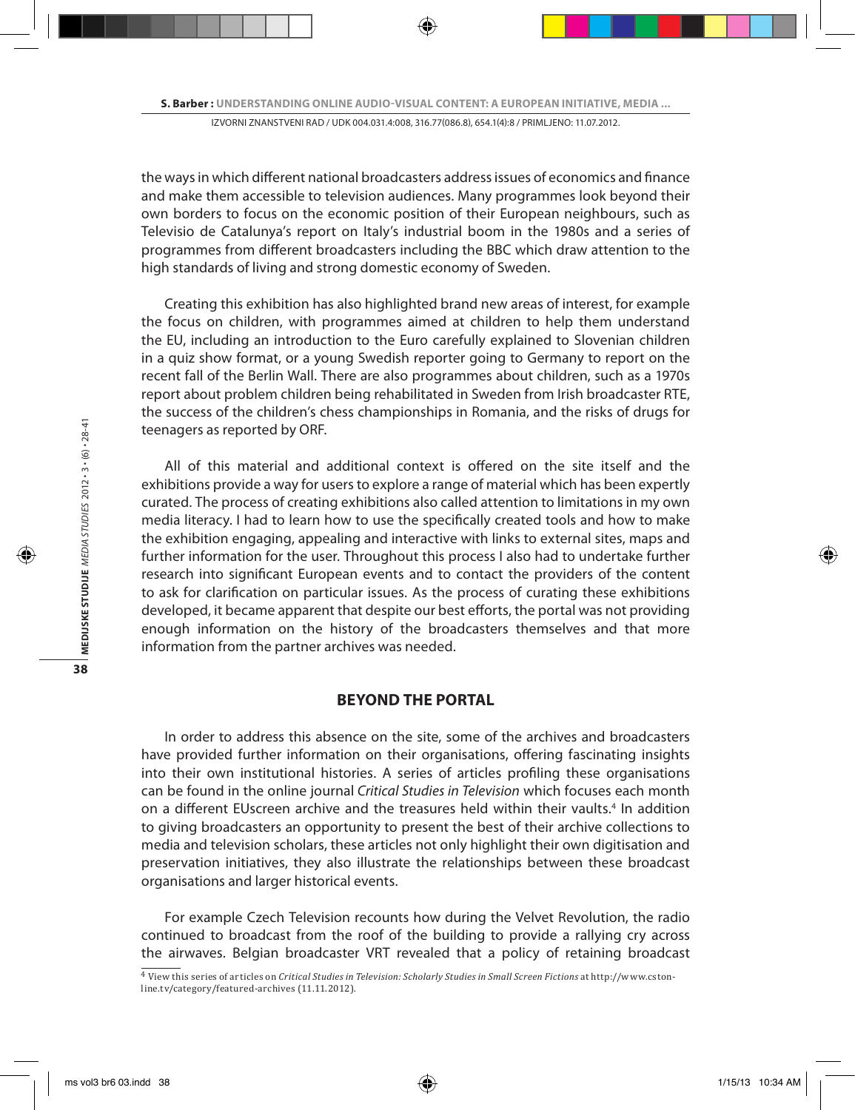the ways in which different national broadcasters address issues of economics and finance and make them accessible to television audiences. Many programmes look beyond their own borders to focus on the economic position of their European neighbours, such as Televisio de Catalunya's report on Italy's industrial boom in the 1980s and a series of programmes from different broadcasters including the BBC which draw attention to the high standards of living and strong domestic economy of Sweden.

Creating this exhibition has also highlighted brand new areas of interest, for example the focus on children, with programmes aimed at children to help them understand the EU, including an introduction to the Euro carefully explained to Slovenian children in a quiz show format, or a young Swedish reporter going to Germany to report on the recent fall of the Berlin Wall. There are also programmes about children, such as a 1970s report about problem children being rehabilitated in Sweden from Irish broadcaster RTE, the success of the children's chess championships in Romania, and the risks of drugs for teenagers as reported by ORF.

All of this material and additional context is offered on the site itself and the exhibitions provide a way for users to explore a range of material which has been expertly curated. The process of creating exhibitions also called attention to limitations in my own media literacy. I had to learn how to use the specifically created tools and how to make the exhibition engaging, appealing and interactive with links to external sites, maps and further information for the user. Throughout this process I also had to undertake further research into significant European events and to contact the providers of the content to ask for clarification on particular issues. As the process of curating these exhibitions developed, it became apparent that despite our best efforts, the portal was not providing enough information on the history of the broadcasters themselves and that more information from the partner archives was needed.

### **BEYOND THE PORTAL**

In order to address this absence on the site, some of the archives and broadcasters have provided further information on their organisations, offering fascinating insights into their own institutional histories. A series of articles profiling these organisations can be found in the online journal *Critical Studies in Television* which focuses each month on a different EUscreen archive and the treasures held within their vaults.<sup>4</sup> In addition to giving broadcasters an opportunity to present the best of their archive collections to media and television scholars, these articles not only highlight their own digitisation and preservation initiatives, they also illustrate the relationships between these broadcast organisations and larger historical events.

For example Czech Television recounts how during the Velvet Revolution, the radio continued to broadcast from the roof of the building to provide a rallying cry across the airwaves. Belgian broadcaster VRT revealed that a policy of retaining broadcast

<sup>4</sup> View this series of articles on *Critical Studies in Television: Scholarly Studies in Small Screen Fictions* at http://www.cstonline.tv/category/featured-archives (11.11.2012).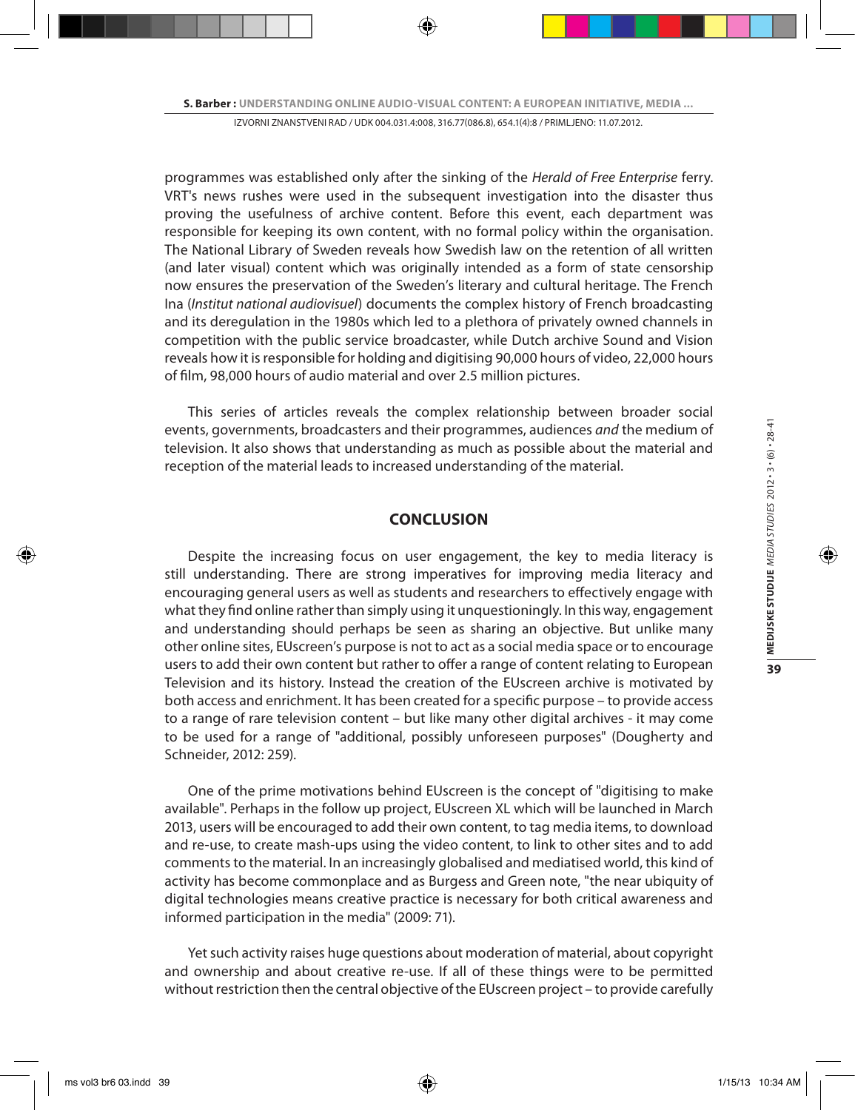programmes was established only after the sinking of the *Herald of Free Enterprise* ferry. VRT's news rushes were used in the subsequent investigation into the disaster thus proving the usefulness of archive content. Before this event, each department was responsible for keeping its own content, with no formal policy within the organisation. The National Library of Sweden reveals how Swedish law on the retention of all written (and later visual) content which was originally intended as a form of state censorship now ensures the preservation of the Sweden's literary and cultural heritage. The French Ina (*Institut national audiovisuel*) documents the complex history of French broadcasting and its deregulation in the 1980s which led to a plethora of privately owned channels in competition with the public service broadcaster, while Dutch archive Sound and Vision reveals how it is responsible for holding and digitising 90,000 hours of video, 22,000 hours of film, 98,000 hours of audio material and over 2.5 million pictures.

This series of articles reveals the complex relationship between broader social events, governments, broadcasters and their programmes, audiences *and* the medium of television. It also shows that understanding as much as possible about the material and reception of the material leads to increased understanding of the material.

### **CONCLUSION**

Despite the increasing focus on user engagement, the key to media literacy is still understanding. There are strong imperatives for improving media literacy and encouraging general users as well as students and researchers to effectively engage with what they find online rather than simply using it unquestioningly. In this way, engagement and understanding should perhaps be seen as sharing an objective. But unlike many other online sites, EUscreen's purpose is not to act as a social media space or to encourage users to add their own content but rather to offer a range of content relating to European Television and its history. Instead the creation of the EUscreen archive is motivated by both access and enrichment. It has been created for a specific purpose – to provide access to a range of rare television content – but like many other digital archives - it may come to be used for a range of "additional, possibly unforeseen purposes" (Dougherty and Schneider, 2012: 259).

One of the prime motivations behind EUscreen is the concept of "digitising to make available". Perhaps in the follow up project, EUscreen XL which will be launched in March 2013, users will be encouraged to add their own content, to tag media items, to download and re-use, to create mash-ups using the video content, to link to other sites and to add comments to the material. In an increasingly globalised and mediatised world, this kind of activity has become commonplace and as Burgess and Green note, "the near ubiquity of digital technologies means creative practice is necessary for both critical awareness and informed participation in the media" (2009: 71).

Yet such activity raises huge questions about moderation of material, about copyright and ownership and about creative re-use. If all of these things were to be permitted without restriction then the central objective of the EUscreen project – to provide carefully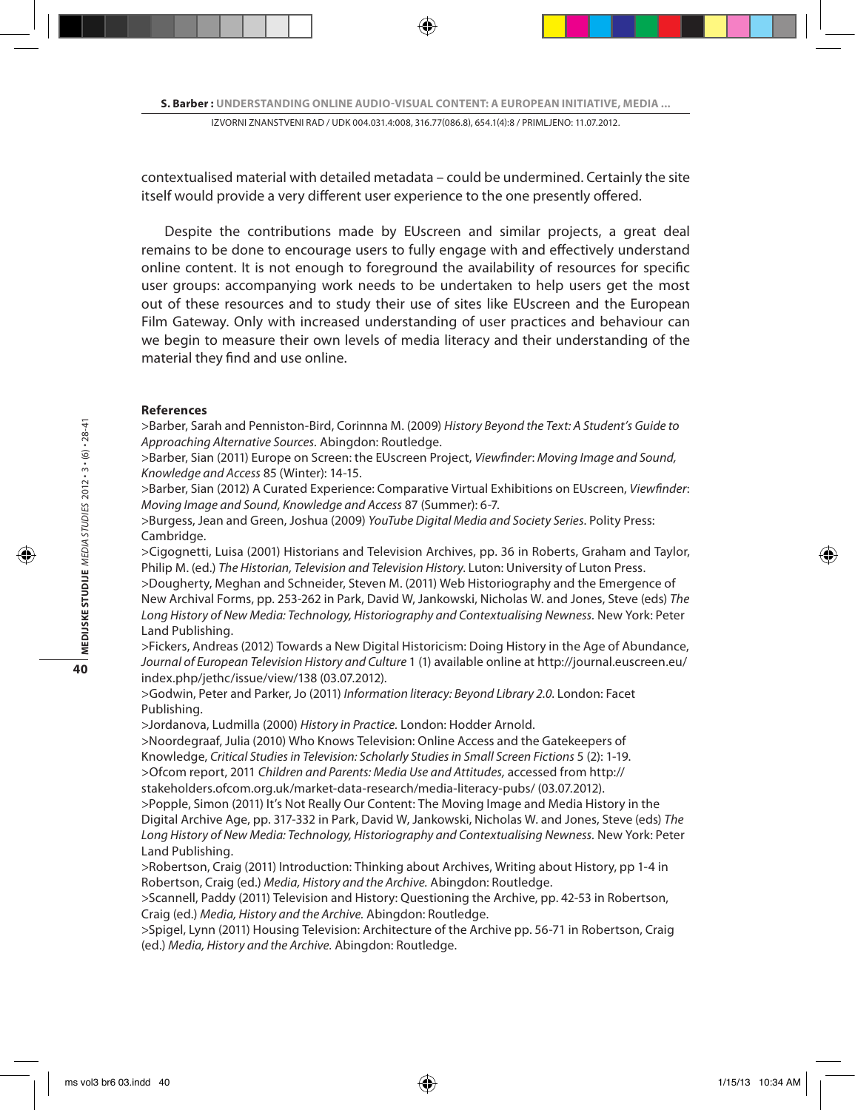contextualised material with detailed metadata – could be undermined. Certainly the site itself would provide a very different user experience to the one presently offered.

Despite the contributions made by EUscreen and similar projects, a great deal remains to be done to encourage users to fully engage with and effectively understand online content. It is not enough to foreground the availability of resources for specific user groups: accompanying work needs to be undertaken to help users get the most out of these resources and to study their use of sites like EUscreen and the European Film Gateway. Only with increased understanding of user practices and behaviour can we begin to measure their own levels of media literacy and their understanding of the material they find and use online.

#### **References**

>Barber, Sarah and Penniston-Bird, Corinnna M. (2009) *History Beyond the Text: A Student's Guide to Approaching Alternative Sources.* Abingdon: Routledge.

>Barber, Sian (2011) Europe on Screen: the EUscreen Project, *Viewfinder*: *Moving Image and Sound, Knowledge and Access* 85 (Winter): 14-15.

>Barber, Sian (2012) A Curated Experience: Comparative Virtual Exhibitions on EUscreen, *Viewfinder*: *Moving Image and Sound, Knowledge and Access* 87 (Summer): 6-7.

>Burgess, Jean and Green, Joshua (2009) *YouTube Digital Media and Society Series*. Polity Press: Cambridge.

>Cigognetti, Luisa (2001) Historians and Television Archives, pp. 36 in Roberts, Graham and Taylor, Philip M. (ed.) *The Historian, Television and Television History*. Luton: University of Luton Press.

>Dougherty, Meghan and Schneider, Steven M. (2011) Web Historiography and the Emergence of New Archival Forms, pp. 253-262 in Park, David W, Jankowski, Nicholas W. and Jones, Steve (eds) *The Long History of New Media: Technology, Historiography and Contextualising Newness.* New York: Peter Land Publishing.

>Fickers, Andreas (2012) Towards a New Digital Historicism: Doing History in the Age of Abundance, *Journal of European Television History and Culture* 1 (1) available online at http://journal.euscreen.eu/ index.php/jethc/issue/view/138 (03.07.2012).

>Godwin, Peter and Parker, Jo (2011) *Information literacy: Beyond Library 2.0*. London: Facet Publishing.

>Jordanova, Ludmilla (2000) *History in Practice.* London: Hodder Arnold.

>Noordegraaf, Julia (2010) Who Knows Television: Online Access and the Gatekeepers of

Knowledge, *Critical Studies in Television: Scholarly Studies in Small Screen Fictions* 5 (2): 1-19.

>Ofcom report, 2011 *Children and Parents: Media Use and Attitudes,* accessed from http:// stakeholders.ofcom.org.uk/market-data-research/media-literacy-pubs/ (03.07.2012).

>Popple, Simon (2011) It's Not Really Our Content: The Moving Image and Media History in the Digital Archive Age, pp. 317-332 in Park, David W, Jankowski, Nicholas W. and Jones, Steve (eds) *The Long History of New Media: Technology, Historiography and Contextualising Newness.* New York: Peter Land Publishing.

>Robertson, Craig (2011) Introduction: Thinking about Archives, Writing about History, pp 1-4 in Robertson, Craig (ed.) *Media, History and the Archive.* Abingdon: Routledge.

>Scannell, Paddy (2011) Television and History: Questioning the Archive, pp. 42-53 in Robertson, Craig (ed.) *Media, History and the Archive.* Abingdon: Routledge.

>Spigel, Lynn (2011) Housing Television: Architecture of the Archive pp. 56-71 in Robertson, Craig (ed.) *Media, History and the Archive.* Abingdon: Routledge.